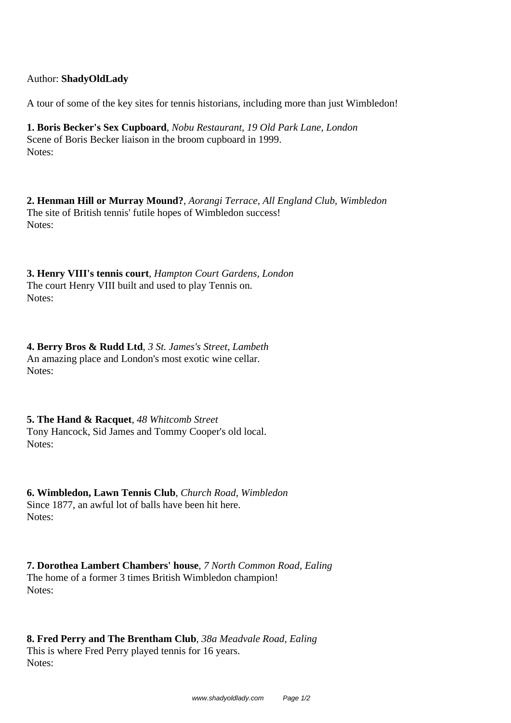## Author: **ShadyOldLady**

A tour of some of the key sites for tennis historians, including more than just Wimbledon!

**1. Boris Becker's Sex Cupboard**, *Nobu Restaurant, 19 Old Park Lane, London* Scene of Boris Becker liaison in the broom cupboard in 1999. Notes:

**2. Henman Hill or Murray Mound?**, *Aorangi Terrace, All England Club, Wimbledon* The site of British tennis' futile hopes of Wimbledon success! Notes:

**3. Henry VIII's tennis court**, *Hampton Court Gardens, London* The court Henry VIII built and used to play Tennis on. Notes:

**4. Berry Bros & Rudd Ltd**, *3 St. James's Street, Lambeth* An amazing place and London's most exotic wine cellar. Notes:

**5. The Hand & Racquet**, *48 Whitcomb Street* Tony Hancock, Sid James and Tommy Cooper's old local. Notes:

**6. Wimbledon, Lawn Tennis Club**, *Church Road, Wimbledon* Since 1877, an awful lot of balls have been hit here. Notes:

**7. Dorothea Lambert Chambers' house**, *7 North Common Road, Ealing* The home of a former 3 times British Wimbledon champion! Notes:

**8. Fred Perry and The Brentham Club**, *38a Meadvale Road, Ealing* This is where Fred Perry played tennis for 16 years. Notes: